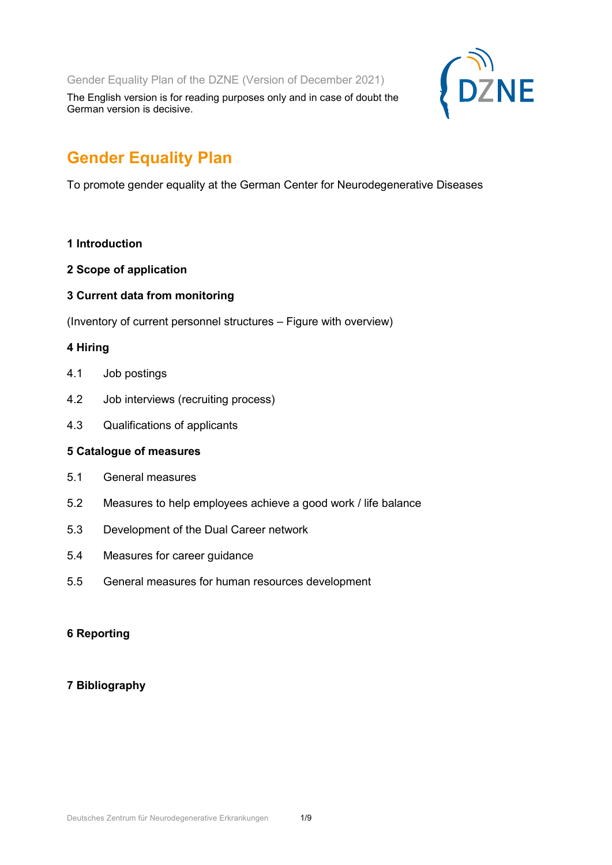Gender Equality Plan of the DZNE (Version of December 2021)

The English version is for reading purposes only and in case of doubt the German version is decisive.

# **Gender Equality Plan**

To promote gender equality at the German Center for Neurodegenerative Diseases

- **1 Introduction**
- **2 Scope of application**
- **3 Current data from monitoring**

(Inventory of current personnel structures – Figure with overview)

# **4 Hiring**

- 4.1 Job postings
- 4.2 Job interviews (recruiting process)
- 4.3 Qualifications of applicants

## **5 Catalogue of measures**

- 5.1 General measures
- 5.2 Measures to help employees achieve a good work / life balance
- 5.3 Development of the Dual Career network
- 5.4 Measures for career guidance
- 5.5 General measures for human resources development

# **6 Reporting**

# **7 Bibliography**

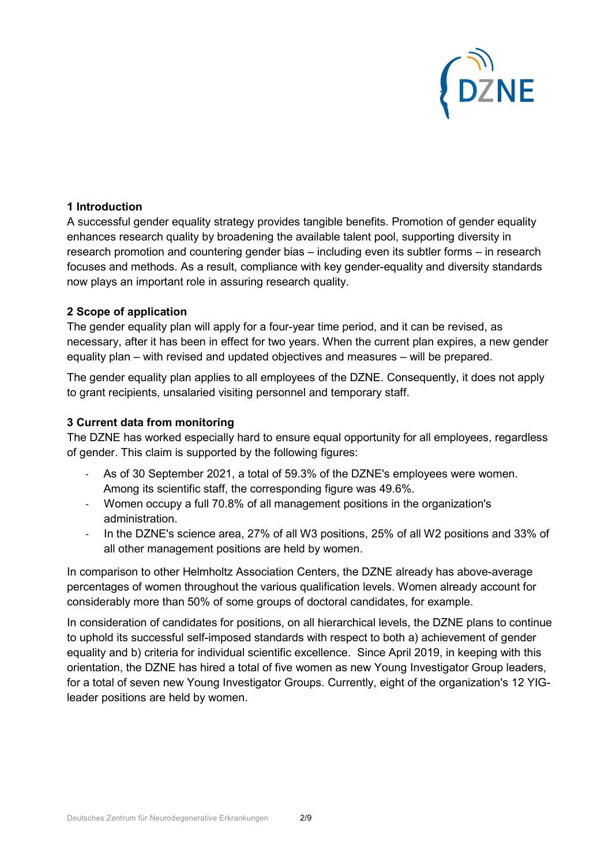

## **1 Introduction**

A successful gender equality strategy provides tangible benefits. Promotion of gender equality enhances research quality by broadening the available talent pool, supporting diversity in research promotion and countering gender bias – including even its subtler forms – in research focuses and methods. As a result, compliance with key gender-equality and diversity standards now plays an important role in assuring research quality.

## **2 Scope of application**

The gender equality plan will apply for a four-year time period, and it can be revised, as necessary, after it has been in effect for two years. When the current plan expires, a new gender equality plan – with revised and updated objectives and measures – will be prepared.

The gender equality plan applies to all employees of the DZNE. Consequently, it does not apply to grant recipients, unsalaried visiting personnel and temporary staff.

## **3 Current data from monitoring**

The DZNE has worked especially hard to ensure equal opportunity for all employees, regardless of gender. This claim is supported by the following figures:

- As of 30 September 2021, a total of 59.3% of the DZNE's employees were women. Among its scientific staff, the corresponding figure was 49.6%.
- Women occupy a full 70.8% of all management positions in the organization's administration.
- In the DZNE's science area, 27% of all W3 positions, 25% of all W2 positions and 33% of all other management positions are held by women.

In comparison to other Helmholtz Association Centers, the DZNE already has above-average percentages of women throughout the various qualification levels. Women already account for considerably more than 50% of some groups of doctoral candidates, for example.

In consideration of candidates for positions, on all hierarchical levels, the DZNE plans to continue to uphold its successful self-imposed standards with respect to both a) achievement of gender equality and b) criteria for individual scientific excellence. Since April 2019, in keeping with this orientation, the DZNE has hired a total of five women as new Young Investigator Group leaders, for a total of seven new Young Investigator Groups. Currently, eight of the organization's 12 YIGleader positions are held by women.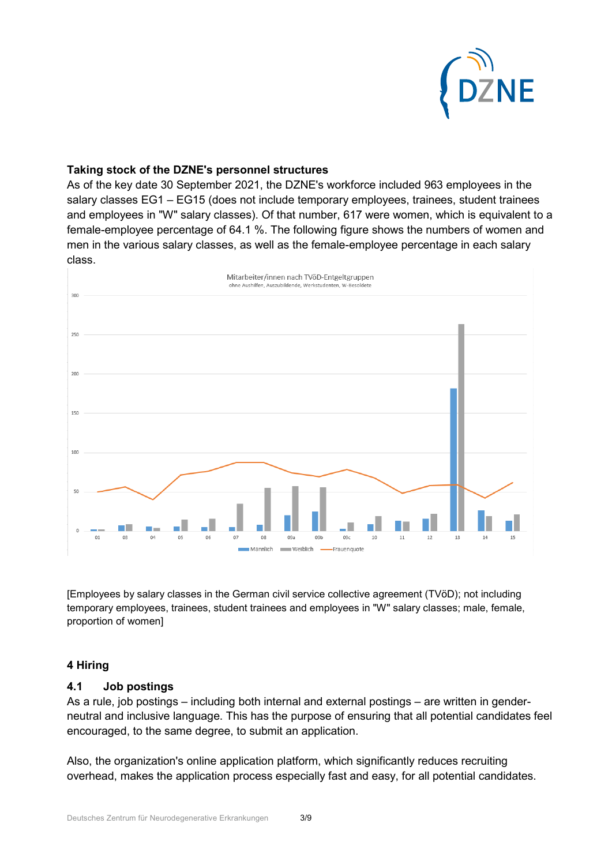

## **Taking stock of the DZNE's personnel structures**

As of the key date 30 September 2021, the DZNE's workforce included 963 employees in the salary classes EG1 – EG15 (does not include temporary employees, trainees, student trainees and employees in "W" salary classes). Of that number, 617 were women, which is equivalent to a female-employee percentage of 64.1 %. The following figure shows the numbers of women and men in the various salary classes, as well as the female-employee percentage in each salary class.



[Employees by salary classes in the German civil service collective agreement (TVöD); not including temporary employees, trainees, student trainees and employees in "W" salary classes; male, female, proportion of women]

## **4 Hiring**

## **4.1 Job postings**

As a rule, job postings – including both internal and external postings – are written in genderneutral and inclusive language. This has the purpose of ensuring that all potential candidates feel encouraged, to the same degree, to submit an application.

Also, the organization's online application platform, which significantly reduces recruiting overhead, makes the application process especially fast and easy, for all potential candidates.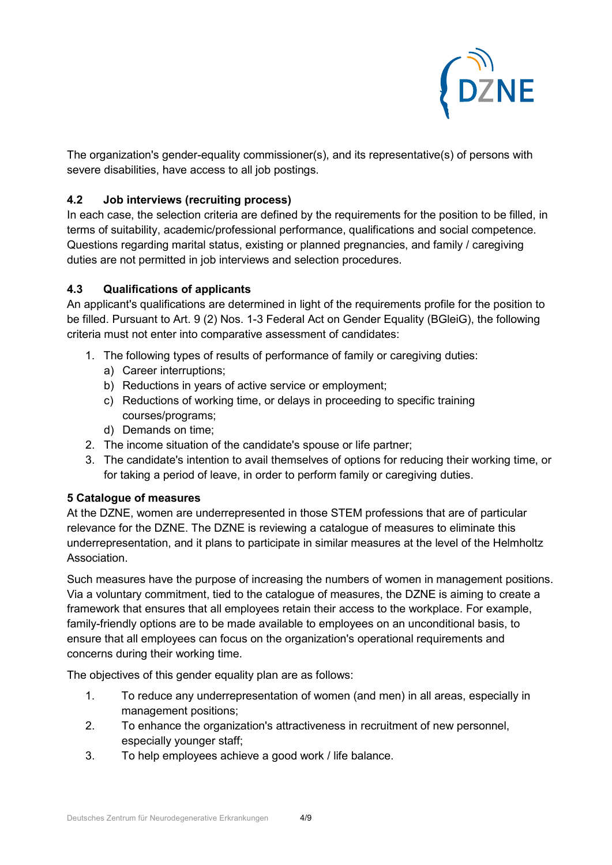

The organization's gender-equality commissioner(s), and its representative(s) of persons with severe disabilities, have access to all job postings.

# **4.2 Job interviews (recruiting process)**

In each case, the selection criteria are defined by the requirements for the position to be filled, in terms of suitability, academic/professional performance, qualifications and social competence. Questions regarding marital status, existing or planned pregnancies, and family / caregiving duties are not permitted in job interviews and selection procedures.

# **4.3 Qualifications of applicants**

An applicant's qualifications are determined in light of the requirements profile for the position to be filled. Pursuant to Art. 9 (2) Nos. 1-3 Federal Act on Gender Equality (BGleiG), the following criteria must not enter into comparative assessment of candidates:

- 1. The following types of results of performance of family or caregiving duties:
	- a) Career interruptions;
	- b) Reductions in years of active service or employment;
	- c) Reductions of working time, or delays in proceeding to specific training courses/programs;
	- d) Demands on time;
- 2. The income situation of the candidate's spouse or life partner;
- 3. The candidate's intention to avail themselves of options for reducing their working time, or for taking a period of leave, in order to perform family or caregiving duties.

# **5 Catalogue of measures**

At the DZNE, women are underrepresented in those STEM professions that are of particular relevance for the DZNE. The DZNE is reviewing a catalogue of measures to eliminate this underrepresentation, and it plans to participate in similar measures at the level of the Helmholtz Association.

Such measures have the purpose of increasing the numbers of women in management positions. Via a voluntary commitment, tied to the catalogue of measures, the DZNE is aiming to create a framework that ensures that all employees retain their access to the workplace. For example, family-friendly options are to be made available to employees on an unconditional basis, to ensure that all employees can focus on the organization's operational requirements and concerns during their working time.

The objectives of this gender equality plan are as follows:

- 1. To reduce any underrepresentation of women (and men) in all areas, especially in management positions;
- 2. To enhance the organization's attractiveness in recruitment of new personnel, especially younger staff;
- 3. To help employees achieve a good work / life balance.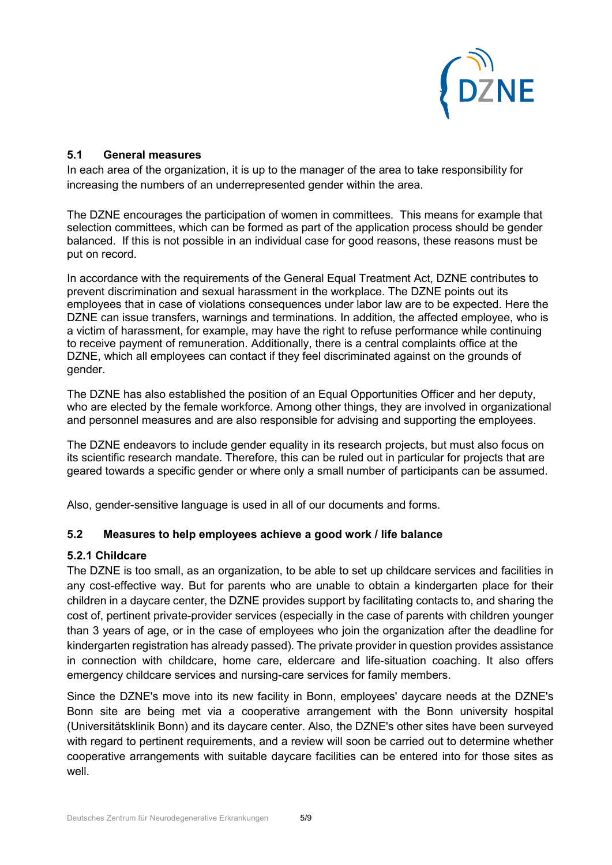

## **5.1 General measures**

In each area of the organization, it is up to the manager of the area to take responsibility for increasing the numbers of an underrepresented gender within the area.

The DZNE encourages the participation of women in committees. This means for example that selection committees, which can be formed as part of the application process should be gender balanced. If this is not possible in an individual case for good reasons, these reasons must be put on record.

In accordance with the requirements of the General Equal Treatment Act, DZNE contributes to prevent discrimination and sexual harassment in the workplace. The DZNE points out its employees that in case of violations consequences under labor law are to be expected. Here the DZNE can issue transfers, warnings and terminations. In addition, the affected employee, who is a victim of harassment, for example, may have the right to refuse performance while continuing to receive payment of remuneration. Additionally, there is a central complaints office at the DZNE, which all employees can contact if they feel discriminated against on the grounds of gender.

The DZNE has also established the position of an Equal Opportunities Officer and her deputy, who are elected by the female workforce. Among other things, they are involved in organizational and personnel measures and are also responsible for advising and supporting the employees.

The DZNE endeavors to include gender equality in its research projects, but must also focus on its scientific research mandate. Therefore, this can be ruled out in particular for projects that are geared towards a specific gender or where only a small number of participants can be assumed.

Also, gender-sensitive language is used in all of our documents and forms.

# **5.2 Measures to help employees achieve a good work / life balance**

## **5.2.1 Childcare**

The DZNE is too small, as an organization, to be able to set up childcare services and facilities in any cost-effective way. But for parents who are unable to obtain a kindergarten place for their children in a daycare center, the DZNE provides support by facilitating contacts to, and sharing the cost of, pertinent private-provider services (especially in the case of parents with children younger than 3 years of age, or in the case of employees who join the organization after the deadline for kindergarten registration has already passed). The private provider in question provides assistance in connection with childcare, home care, eldercare and life-situation coaching. It also offers emergency childcare services and nursing-care services for family members.

Since the DZNE's move into its new facility in Bonn, employees' daycare needs at the DZNE's Bonn site are being met via a cooperative arrangement with the Bonn university hospital (Universitätsklinik Bonn) and its daycare center. Also, the DZNE's other sites have been surveyed with regard to pertinent requirements, and a review will soon be carried out to determine whether cooperative arrangements with suitable daycare facilities can be entered into for those sites as well.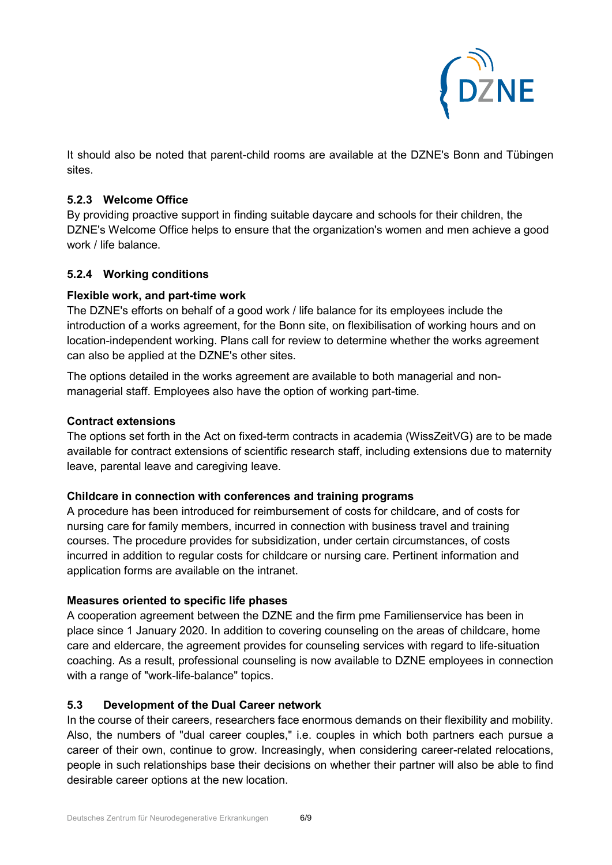

It should also be noted that parent-child rooms are available at the DZNE's Bonn and Tübingen sites.

## **5.2.3 Welcome Office**

By providing proactive support in finding suitable daycare and schools for their children, the DZNE's Welcome Office helps to ensure that the organization's women and men achieve a good work / life balance

# **5.2.4 Working conditions**

## **Flexible work, and part-time work**

The DZNE's efforts on behalf of a good work / life balance for its employees include the introduction of a works agreement, for the Bonn site, on flexibilisation of working hours and on location-independent working. Plans call for review to determine whether the works agreement can also be applied at the DZNE's other sites.

The options detailed in the works agreement are available to both managerial and nonmanagerial staff. Employees also have the option of working part-time.

## **Contract extensions**

The options set forth in the Act on fixed-term contracts in academia (WissZeitVG) are to be made available for contract extensions of scientific research staff, including extensions due to maternity leave, parental leave and caregiving leave.

## **Childcare in connection with conferences and training programs**

A procedure has been introduced for reimbursement of costs for childcare, and of costs for nursing care for family members, incurred in connection with business travel and training courses. The procedure provides for subsidization, under certain circumstances, of costs incurred in addition to regular costs for childcare or nursing care. Pertinent information and application forms are available on the intranet.

## **Measures oriented to specific life phases**

A cooperation agreement between the DZNE and the firm pme Familienservice has been in place since 1 January 2020. In addition to covering counseling on the areas of childcare, home care and eldercare, the agreement provides for counseling services with regard to life-situation coaching. As a result, professional counseling is now available to DZNE employees in connection with a range of "work-life-balance" topics.

## **5.3 Development of the Dual Career network**

In the course of their careers, researchers face enormous demands on their flexibility and mobility. Also, the numbers of "dual career couples," i.e. couples in which both partners each pursue a career of their own, continue to grow. Increasingly, when considering career-related relocations, people in such relationships base their decisions on whether their partner will also be able to find desirable career options at the new location.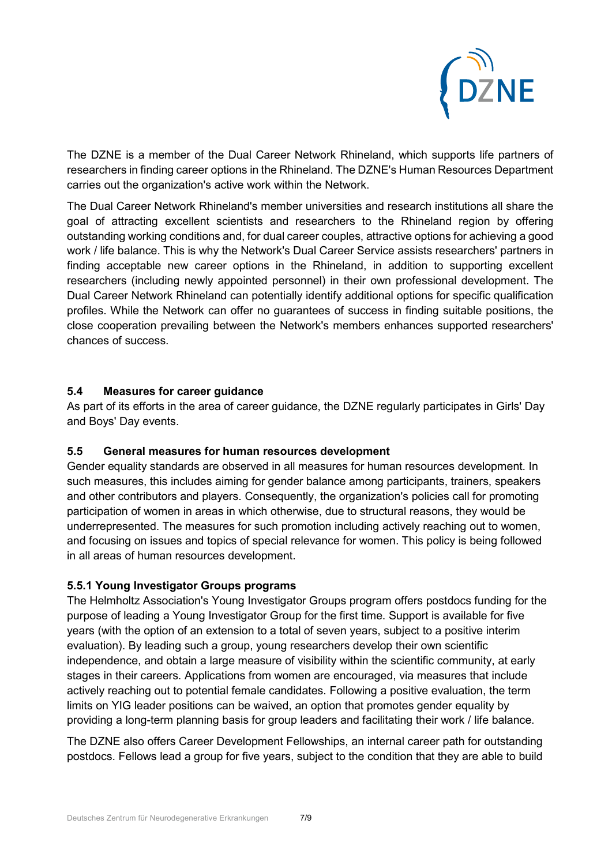

The DZNE is a member of the Dual Career Network Rhineland, which supports life partners of researchers in finding career options in the Rhineland. The DZNE's Human Resources Department carries out the organization's active work within the Network.

The Dual Career Network Rhineland's member universities and research institutions all share the goal of attracting excellent scientists and researchers to the Rhineland region by offering outstanding working conditions and, for dual career couples, attractive options for achieving a good work / life balance. This is why the Network's Dual Career Service assists researchers' partners in finding acceptable new career options in the Rhineland, in addition to supporting excellent researchers (including newly appointed personnel) in their own professional development. The Dual Career Network Rhineland can potentially identify additional options for specific qualification profiles. While the Network can offer no guarantees of success in finding suitable positions, the close cooperation prevailing between the Network's members enhances supported researchers' chances of success.

# **5.4 Measures for career guidance**

As part of its efforts in the area of career guidance, the DZNE regularly participates in Girls' Day and Boys' Day events.

## **5.5 General measures for human resources development**

Gender equality standards are observed in all measures for human resources development. In such measures, this includes aiming for gender balance among participants, trainers, speakers and other contributors and players. Consequently, the organization's policies call for promoting participation of women in areas in which otherwise, due to structural reasons, they would be underrepresented. The measures for such promotion including actively reaching out to women, and focusing on issues and topics of special relevance for women. This policy is being followed in all areas of human resources development.

## **5.5.1 Young Investigator Groups programs**

The Helmholtz Association's Young Investigator Groups program offers postdocs funding for the purpose of leading a Young Investigator Group for the first time. Support is available for five years (with the option of an extension to a total of seven years, subject to a positive interim evaluation). By leading such a group, young researchers develop their own scientific independence, and obtain a large measure of visibility within the scientific community, at early stages in their careers. Applications from women are encouraged, via measures that include actively reaching out to potential female candidates. Following a positive evaluation, the term limits on YIG leader positions can be waived, an option that promotes gender equality by providing a long-term planning basis for group leaders and facilitating their work / life balance.

The DZNE also offers Career Development Fellowships, an internal career path for outstanding postdocs. Fellows lead a group for five years, subject to the condition that they are able to build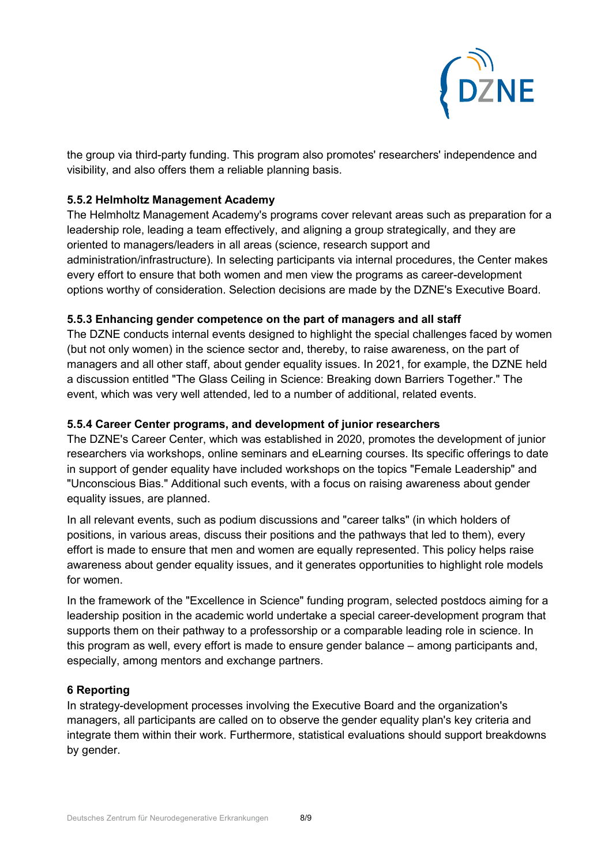

the group via third-party funding. This program also promotes' researchers' independence and visibility, and also offers them a reliable planning basis.

## **5.5.2 Helmholtz Management Academy**

The Helmholtz Management Academy's programs cover relevant areas such as preparation for a leadership role, leading a team effectively, and aligning a group strategically, and they are oriented to managers/leaders in all areas (science, research support and administration/infrastructure). In selecting participants via internal procedures, the Center makes every effort to ensure that both women and men view the programs as career-development options worthy of consideration. Selection decisions are made by the DZNE's Executive Board.

## **5.5.3 Enhancing gender competence on the part of managers and all staff**

The DZNE conducts internal events designed to highlight the special challenges faced by women (but not only women) in the science sector and, thereby, to raise awareness, on the part of managers and all other staff, about gender equality issues. In 2021, for example, the DZNE held a discussion entitled "The Glass Ceiling in Science: Breaking down Barriers Together." The event, which was very well attended, led to a number of additional, related events.

## **5.5.4 Career Center programs, and development of junior researchers**

The DZNE's Career Center, which was established in 2020, promotes the development of junior researchers via workshops, online seminars and eLearning courses. Its specific offerings to date in support of gender equality have included workshops on the topics "Female Leadership" and "Unconscious Bias." Additional such events, with a focus on raising awareness about gender equality issues, are planned.

In all relevant events, such as podium discussions and "career talks" (in which holders of positions, in various areas, discuss their positions and the pathways that led to them), every effort is made to ensure that men and women are equally represented. This policy helps raise awareness about gender equality issues, and it generates opportunities to highlight role models for women.

In the framework of the "Excellence in Science" funding program, selected postdocs aiming for a leadership position in the academic world undertake a special career-development program that supports them on their pathway to a professorship or a comparable leading role in science. In this program as well, every effort is made to ensure gender balance – among participants and, especially, among mentors and exchange partners.

## **6 Reporting**

In strategy-development processes involving the Executive Board and the organization's managers, all participants are called on to observe the gender equality plan's key criteria and integrate them within their work. Furthermore, statistical evaluations should support breakdowns by gender.